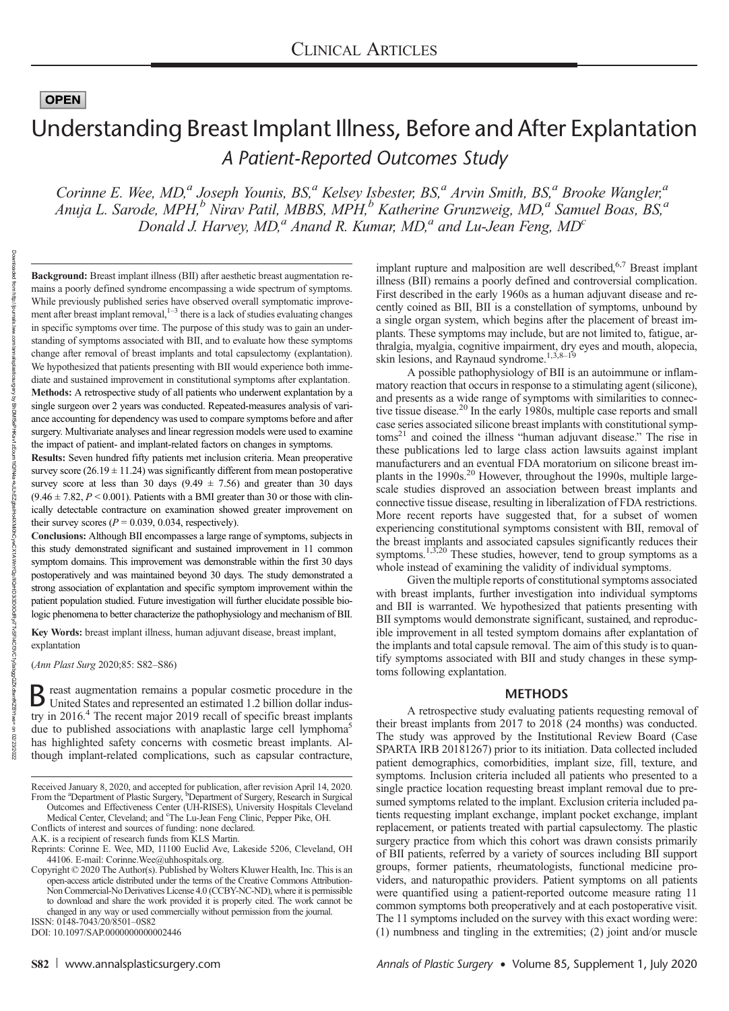Downloaded

baded from http://journals

http://journals.lww.com/annalsplasticsurgery

হ

# Understanding Breast Implant Illness, Before and After Explantation A Patient-Reported Outcomes Study

Corinne E. Wee, MD,<sup>a</sup> Joseph Younis, BS,<sup>a</sup> Kelsey Isbester, BS,<sup>a</sup> Arvin Smith, BS,<sup>a</sup> Brooke Wangler,<sup>a</sup> Anuja L. Sarode, MPH,<sup>b</sup> Nirav Patil, MBBS, MPH,<sup>b</sup> Katherine Grunzweig, MD,<sup>a</sup> Samuel Boas, BS,<sup>a</sup> Donald J. Harvey,  $MD<sup>a</sup>$  Anand R. Kumar,  $MD<sup>a</sup>$  and Lu-Jean Feng,  $MD<sup>c</sup>$ 

Background: Breast implant illness (BII) after aesthetic breast augmentation remains a poorly defined syndrome encompassing a wide spectrum of symptoms. While previously published series have observed overall symptomatic improvement after breast implant removal, $1-3$  there is a lack of studies evaluating changes in specific symptoms over time. The purpose of this study was to gain an understanding of symptoms associated with BII, and to evaluate how these symptoms change after removal of breast implants and total capsulectomy (explantation). We hypothesized that patients presenting with BII would experience both immediate and sustained improvement in constitutional symptoms after explantation. Methods: A retrospective study of all patients who underwent explantation by a single surgeon over 2 years was conducted. Repeated-measures analysis of variance accounting for dependency was used to compare symptoms before and after surgery. Multivariate analyses and linear regression models were used to examine the impact of patient- and implant-related factors on changes in symptoms.

Results: Seven hundred fifty patients met inclusion criteria. Mean preoperative survey score  $(26.19 \pm 11.24)$  was significantly different from mean postoperative survey score at less than 30 days  $(9.49 \pm 7.56)$  and greater than 30 days  $(9.46 \pm 7.82, P \le 0.001)$ . Patients with a BMI greater than 30 or those with clinically detectable contracture on examination showed greater improvement on their survey scores ( $P = 0.039, 0.034$ , respectively).

Conclusions: Although BII encompasses a large range of symptoms, subjects in this study demonstrated significant and sustained improvement in 11 common symptom domains. This improvement was demonstrable within the first 30 days postoperatively and was maintained beyond 30 days. The study demonstrated a strong association of explantation and specific symptom improvement within the patient population studied. Future investigation will further elucidate possible biologic phenomena to better characterize the pathophysiology and mechanism of BII.

Key Words: breast implant illness, human adjuvant disease, breast implant, explantation

(Ann Plast Surg 2020;85: S82–S86)

B reast augmentation remains a popular cosmetic procedure in the United States and represented in United States and represented an estimated 1.2 billion dollar industry in 2016.<sup>4</sup> The recent major 2019 recall of specific breast implants due to published associations with anaplastic large cell lymphoma<sup>5</sup> has highlighted safety concerns with cosmetic breast implants. Although implant-related complications, such as capsular contracture,

Outcomes and Effectiveness Center (UH-RISES), University Hospitals Cleveland Medical Center, Cleveland; and <sup>c</sup>The Lu-Jean Feng Clinic, Pepper Pike, OH. Conflicts of interest and sources of funding: none declared.

A.K. is a recipient of research funds from KLS Martin.

44106. E-mail: [Corinne.Wee@uhhospitals.org.](mailto:Corinne.Wee@uhhospitals.org) Copyright © 2020 The Author(s). Published by Wolters Kluwer Health, Inc. This is an open-access article distributed under the terms of the [Creative Commons Attribution-](http://creativecommons.org/licenses/by-nc-nd/4.0/)[Non Commercial-No Derivatives License 4.0 \(CCBY-NC-ND\),](http://creativecommons.org/licenses/by-nc-nd/4.0/) where it is permissible to download and share the work provided it is properly cited. The work cannot be changed in any way or used commercially without permission from the journal. ISSN: 0148-7043/20/8501–0S82

DOI: 10.1097/SAP.0000000000002446

implant rupture and malposition are well described,<sup>6,7</sup> Breast implant illness (BII) remains a poorly defined and controversial complication. First described in the early 1960s as a human adjuvant disease and recently coined as BII, BII is a constellation of symptoms, unbound by a single organ system, which begins after the placement of breast implants. These symptoms may include, but are not limited to, fatigue, arthralgia, myalgia, cognitive impairment, dry eyes and mouth, alopecia, skin lesions, and Raynaud syndrome.<sup>1,3,8–19</sup>

A possible pathophysiology of BII is an autoimmune or inflammatory reaction that occurs in response to a stimulating agent (silicone), and presents as a wide range of symptoms with similarities to connective tissue disease.<sup>20</sup> In the early 1980s, multiple case reports and small case series associated silicone breast implants with constitutional symptoms<sup>21</sup> and coined the illness "human adjuvant disease." The rise in these publications led to large class action lawsuits against implant manufacturers and an eventual FDA moratorium on silicone breast implants in the 1990s.<sup>20</sup> However, throughout the 1990s, multiple largescale studies disproved an association between breast implants and connective tissue disease, resulting in liberalization of FDA restrictions. More recent reports have suggested that, for a subset of women experiencing constitutional symptoms consistent with BII, removal of the breast implants and associated capsules significantly reduces their symptoms.<sup>1,3,20</sup> These studies, however, tend to group symptoms as a whole instead of examining the validity of individual symptoms.

Given the multiple reports of constitutional symptoms associated with breast implants, further investigation into individual symptoms and BII is warranted. We hypothesized that patients presenting with BII symptoms would demonstrate significant, sustained, and reproducible improvement in all tested symptom domains after explantation of the implants and total capsule removal. The aim of this study is to quantify symptoms associated with BII and study changes in these symptoms following explantation.

#### METHODS

A retrospective study evaluating patients requesting removal of their breast implants from 2017 to 2018 (24 months) was conducted. The study was approved by the Institutional Review Board (Case SPARTA IRB 20181267) prior to its initiation. Data collected included patient demographics, comorbidities, implant size, fill, texture, and symptoms. Inclusion criteria included all patients who presented to a single practice location requesting breast implant removal due to presumed symptoms related to the implant. Exclusion criteria included patients requesting implant exchange, implant pocket exchange, implant replacement, or patients treated with partial capsulectomy. The plastic surgery practice from which this cohort was drawn consists primarily of BII patients, referred by a variety of sources including BII support groups, former patients, rheumatologists, functional medicine providers, and naturopathic providers. Patient symptoms on all patients were quantified using a patient-reported outcome measure rating 11 common symptoms both preoperatively and at each postoperative visit. The 11 symptoms included on the survey with this exact wording were: (1) numbness and tingling in the extremities; (2) joint and/or muscle

Received January 8, 2020, and accepted for publication, after revision April 14, 2020. From the <sup>a</sup>Department of Plastic Surgery, <sup>b</sup>Department of Surgery, Research in Surgical

Reprints: Corinne E. Wee, MD, 11100 Euclid Ave, Lakeside 5206, Cleveland, OH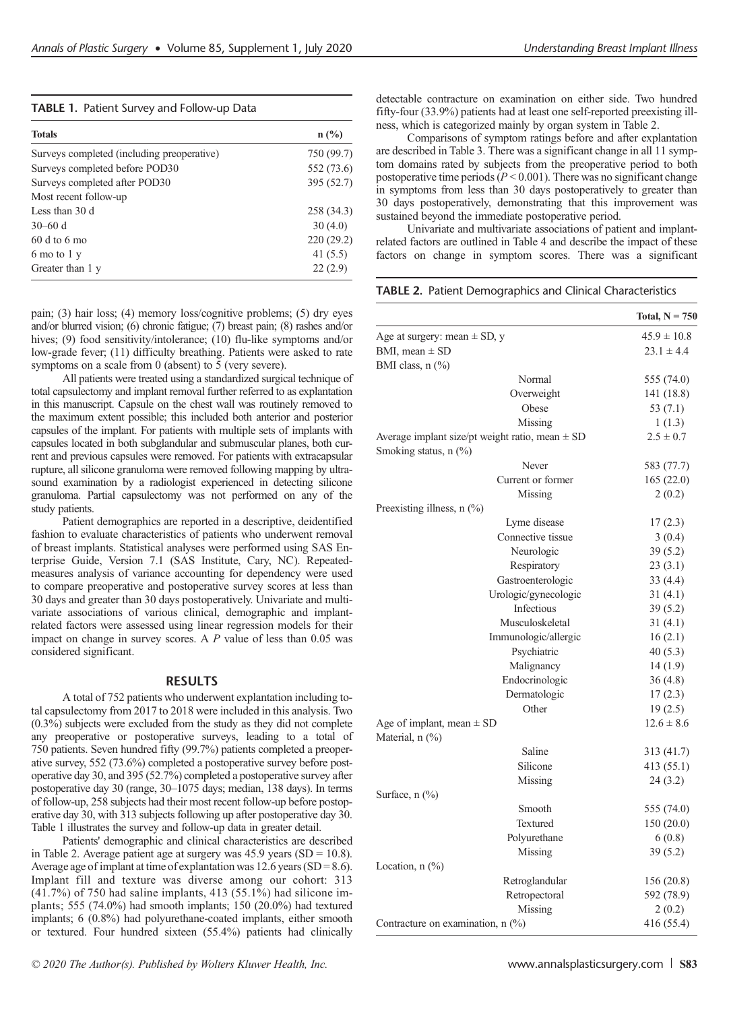| <b>Totals</b>                              | $n$ (%)    |
|--------------------------------------------|------------|
| Surveys completed (including preoperative) | 750 (99.7) |
| Surveys completed before POD30             | 552 (73.6) |
| Surveys completed after POD30              | 395 (52.7) |
| Most recent follow-up                      |            |
| Less than 30 d                             | 258 (34.3) |
| $30-60$ d                                  | 30(4.0)    |
| $60d$ to 6 mo                              | 220 (29.2) |
| 6 mo to 1 y                                | 41 $(5.5)$ |
| Greater than 1 y                           | 22(2.9)    |

pain; (3) hair loss; (4) memory loss/cognitive problems; (5) dry eyes and/or blurred vision; (6) chronic fatigue; (7) breast pain; (8) rashes and/or hives; (9) food sensitivity/intolerance; (10) flu-like symptoms and/or low-grade fever; (11) difficulty breathing. Patients were asked to rate symptoms on a scale from 0 (absent) to 5 (very severe).

All patients were treated using a standardized surgical technique of total capsulectomy and implant removal further referred to as explantation in this manuscript. Capsule on the chest wall was routinely removed to the maximum extent possible; this included both anterior and posterior capsules of the implant. For patients with multiple sets of implants with capsules located in both subglandular and submuscular planes, both current and previous capsules were removed. For patients with extracapsular rupture, all silicone granuloma were removed following mapping by ultrasound examination by a radiologist experienced in detecting silicone granuloma. Partial capsulectomy was not performed on any of the study patients.

Patient demographics are reported in a descriptive, deidentified fashion to evaluate characteristics of patients who underwent removal of breast implants. Statistical analyses were performed using SAS Enterprise Guide, Version 7.1 (SAS Institute, Cary, NC). Repeatedmeasures analysis of variance accounting for dependency were used to compare preoperative and postoperative survey scores at less than 30 days and greater than 30 days postoperatively. Univariate and multivariate associations of various clinical, demographic and implantrelated factors were assessed using linear regression models for their impact on change in survey scores. A P value of less than 0.05 was considered significant.

# RESULTS

A total of 752 patients who underwent explantation including total capsulectomy from 2017 to 2018 were included in this analysis. Two  $(0.3\%)$  subjects were excluded from the study as they did not complete any preoperative or postoperative surveys, leading to a total of 750 patients. Seven hundred fifty (99.7%) patients completed a preoperative survey, 552 (73.6%) completed a postoperative survey before postoperative day 30, and 395 (52.7%) completed a postoperative survey after postoperative day 30 (range, 30–1075 days; median, 138 days). In terms of follow-up, 258 subjects had their most recent follow-up before postoperative day 30, with 313 subjects following up after postoperative day 30. Table 1 illustrates the survey and follow-up data in greater detail.

Patients' demographic and clinical characteristics are described in Table 2. Average patient age at surgery was  $45.9$  years (SD = 10.8). Average age of implant at time of explantation was  $12.6$  years (SD = 8.6). Implant fill and texture was diverse among our cohort: 313 (41.7%) of 750 had saline implants, 413 (55.1%) had silicone implants; 555 (74.0%) had smooth implants; 150 (20.0%) had textured implants; 6 (0.8%) had polyurethane-coated implants, either smooth or textured. Four hundred sixteen (55.4%) patients had clinically

detectable contracture on examination on either side. Two hundred fifty-four (33.9%) patients had at least one self-reported preexisting illness, which is categorized mainly by organ system in Table 2.

Comparisons of symptom ratings before and after explantation are described in Table 3. There was a significant change in all 11 symptom domains rated by subjects from the preoperative period to both postoperative time periods ( $P < 0.001$ ). There was no significant change in symptoms from less than 30 days postoperatively to greater than 30 days postoperatively, demonstrating that this improvement was sustained beyond the immediate postoperative period.

Univariate and multivariate associations of patient and implantrelated factors are outlined in Table 4 and describe the impact of these factors on change in symptom scores. There was a significant

|  |  | TABLE 2. Patient Demographics and Clinical Characteristics |
|--|--|------------------------------------------------------------|
|  |  |                                                            |

|                                                       | Total, $N = 750$ |
|-------------------------------------------------------|------------------|
| Age at surgery: mean $\pm$ SD, y                      | $45.9 \pm 10.8$  |
| BMI, mean $\pm$ SD                                    | $23.1 \pm 4.4$   |
| BMI class, n (%)                                      |                  |
| Normal                                                | 555 (74.0)       |
| Overweight                                            | 141 (18.8)       |
| Obese                                                 | 53 (7.1)         |
| Missing                                               | 1(1.3)           |
| Average implant size/pt weight ratio, mean $\pm$ SD   | $2.5 \pm 0.7$    |
| Smoking status, n (%)                                 |                  |
| Never                                                 | 583 (77.7)       |
| Current or former                                     | 165(22.0)        |
| Missing                                               | 2(0.2)           |
| Preexisting illness, $n$ (%)                          |                  |
| Lyme disease                                          | 17(2.3)          |
| Connective tissue                                     | 3(0.4)           |
| Neurologic                                            | 39(5.2)          |
| Respiratory                                           | 23(3.1)          |
| Gastroenterologic                                     | 33(4.4)          |
| Urologic/gynecologic                                  | 31(4.1)          |
| <b>Infectious</b>                                     | 39(5.2)          |
| Musculoskeletal                                       | 31(4.1)          |
| Immunologic/allergic                                  | 16(2.1)          |
| Psychiatric                                           | 40 (5.3)         |
| Malignancy                                            | 14 (1.9)         |
| Endocrinologic                                        | 36(4.8)          |
| Dermatologic                                          | 17(2.3)          |
| Other                                                 | 19(2.5)          |
| Age of implant, mean $\pm$ SD<br>Material, $n$ $(\%)$ | $12.6 \pm 8.6$   |
| Saline                                                | 313 (41.7)       |
| Silicone                                              | 413 (55.1)       |
| Missing                                               | 24(3.2)          |
| Surface, $n$ $(\%)$                                   |                  |
| Smooth                                                | 555 (74.0)       |
| Textured                                              | 150 (20.0)       |
| Polyurethane                                          | 6(0.8)           |
| Missing                                               | 39(5.2)          |
| Location, $n$ $(\%)$                                  |                  |
| Retroglandular                                        | 156 (20.8)       |
| Retropectoral                                         | 592 (78.9)       |
| Missing                                               | 2(0.2)           |
| Contracture on examination, $n$ $(\%)$                | 416 (55.4)       |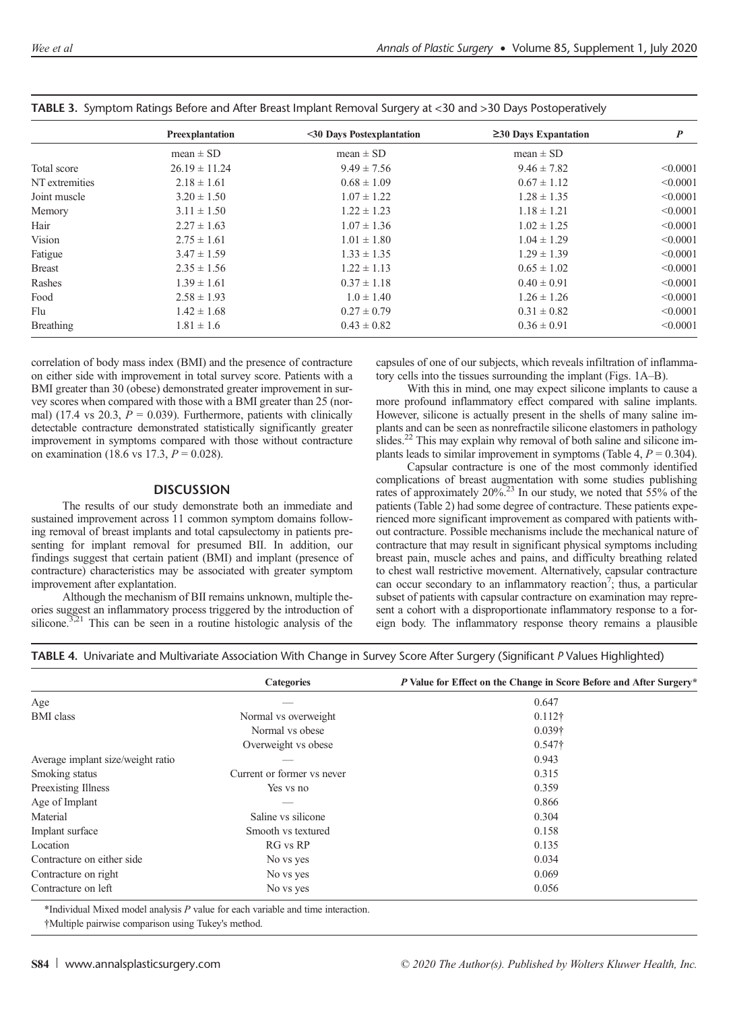|                  | Preexplantation   | <30 Days Postexplantation | $\geq$ 30 Days Expantation | $\boldsymbol{P}$ |
|------------------|-------------------|---------------------------|----------------------------|------------------|
|                  | mean $\pm$ SD     | mean $\pm$ SD             | mean $\pm$ SD              |                  |
| Total score      | $26.19 \pm 11.24$ | $9.49 \pm 7.56$           | $9.46 \pm 7.82$            | < 0.0001         |
| NT extremities   | $2.18 \pm 1.61$   | $0.68 \pm 1.09$           | $0.67 \pm 1.12$            | < 0.0001         |
| Joint muscle     | $3.20 \pm 1.50$   | $1.07 \pm 1.22$           | $1.28 \pm 1.35$            | < 0.0001         |
| Memory           | $3.11 \pm 1.50$   | $1.22 \pm 1.23$           | $1.18 \pm 1.21$            | < 0.0001         |
| Hair             | $2.27 \pm 1.63$   | $1.07 \pm 1.36$           | $1.02 \pm 1.25$            | < 0.0001         |
| Vision           | $2.75 \pm 1.61$   | $1.01 \pm 1.80$           | $1.04 \pm 1.29$            | < 0.0001         |
| Fatigue          | $3.47 \pm 1.59$   | $1.33 \pm 1.35$           | $1.29 \pm 1.39$            | < 0.0001         |
| <b>Breast</b>    | $2.35 \pm 1.56$   | $1.22 \pm 1.13$           | $0.65 \pm 1.02$            | < 0.0001         |
| Rashes           | $1.39 \pm 1.61$   | $0.37 \pm 1.18$           | $0.40 \pm 0.91$            | < 0.0001         |
| Food             | $2.58 \pm 1.93$   | $1.0 \pm 1.40$            | $1.26 \pm 1.26$            | < 0.0001         |
| Flu              | $1.42 \pm 1.68$   | $0.27 \pm 0.79$           | $0.31 \pm 0.82$            | < 0.0001         |
| <b>Breathing</b> | $1.81 \pm 1.6$    | $0.43 \pm 0.82$           | $0.36 \pm 0.91$            | < 0.0001         |
|                  |                   |                           |                            |                  |

|  | TABLE 3. Symptom Ratings Before and After Breast Implant Removal Surgery at <30 and >30 Days Postoperatively |  |  |  |  |  |  |
|--|--------------------------------------------------------------------------------------------------------------|--|--|--|--|--|--|
|  |                                                                                                              |  |  |  |  |  |  |

correlation of body mass index (BMI) and the presence of contracture on either side with improvement in total survey score. Patients with a BMI greater than 30 (obese) demonstrated greater improvement in survey scores when compared with those with a BMI greater than 25 (normal) (17.4 vs 20.3,  $\bar{P} = 0.039$ ). Furthermore, patients with clinically detectable contracture demonstrated statistically significantly greater improvement in symptoms compared with those without contracture on examination (18.6 vs 17.3,  $P = 0.028$ ).

## **DISCUSSION**

The results of our study demonstrate both an immediate and sustained improvement across 11 common symptom domains following removal of breast implants and total capsulectomy in patients presenting for implant removal for presumed BII. In addition, our findings suggest that certain patient (BMI) and implant (presence of contracture) characteristics may be associated with greater symptom improvement after explantation.

Although the mechanism of BII remains unknown, multiple theories suggest an inflammatory process triggered by the introduction of silicone. $3,21$  This can be seen in a routine histologic analysis of the

capsules of one of our subjects, which reveals infiltration of inflammatory cells into the tissues surrounding the implant (Figs. 1A–B).

With this in mind, one may expect silicone implants to cause a more profound inflammatory effect compared with saline implants. However, silicone is actually present in the shells of many saline implants and can be seen as nonrefractile silicone elastomers in pathology slides.<sup>22</sup> This may explain why removal of both saline and silicone implants leads to similar improvement in symptoms (Table 4,  $P = 0.304$ ).

Capsular contracture is one of the most commonly identified complications of breast augmentation with some studies publishing rates of approximately 20%.<sup>23</sup> In our study, we noted that 55% of the patients (Table 2) had some degree of contracture. These patients experienced more significant improvement as compared with patients without contracture. Possible mechanisms include the mechanical nature of contracture that may result in significant physical symptoms including breast pain, muscle aches and pains, and difficulty breathing related to chest wall restrictive movement. Alternatively, capsular contracture can occur secondary to an inflammatory reaction<sup>7</sup>; thus, a particular subset of patients with capsular contracture on examination may represent a cohort with a disproportionate inflammatory response to a foreign body. The inflammatory response theory remains a plausible

|  | TABLE 4. Univariate and Multivariate Association With Change in Survey Score After Surgery (Significant P Values Highlighted) |  |  |  |  |
|--|-------------------------------------------------------------------------------------------------------------------------------|--|--|--|--|
|  |                                                                                                                               |  |  |  |  |

|                                   | <b>Categories</b>          | P Value for Effect on the Change in Score Before and After Surgery* |
|-----------------------------------|----------------------------|---------------------------------------------------------------------|
| Age                               |                            | 0.647                                                               |
| <b>BMI</b> class                  | Normal vs overweight       | $0.112\dagger$                                                      |
|                                   | Normal vs obese            | $0.039\dagger$                                                      |
|                                   | Overweight vs obese        | $0.547\dagger$                                                      |
| Average implant size/weight ratio |                            | 0.943                                                               |
| Smoking status                    | Current or former vs never | 0.315                                                               |
| Preexisting Illness               | Yes ys no                  | 0.359                                                               |
| Age of Implant                    |                            | 0.866                                                               |
| Material                          | Saline vs silicone         | 0.304                                                               |
| Implant surface                   | Smooth vs textured         | 0.158                                                               |
| Location                          | RG vs RP                   | 0.135                                                               |
| Contracture on either side        | No vs yes                  | 0.034                                                               |
| Contracture on right              | No vs yes                  | 0.069                                                               |
| Contracture on left               | No vs yes                  | 0.056                                                               |

\*Individual Mixed model analysis P value for each variable and time interaction.

†Multiple pairwise comparison using Tukey's method.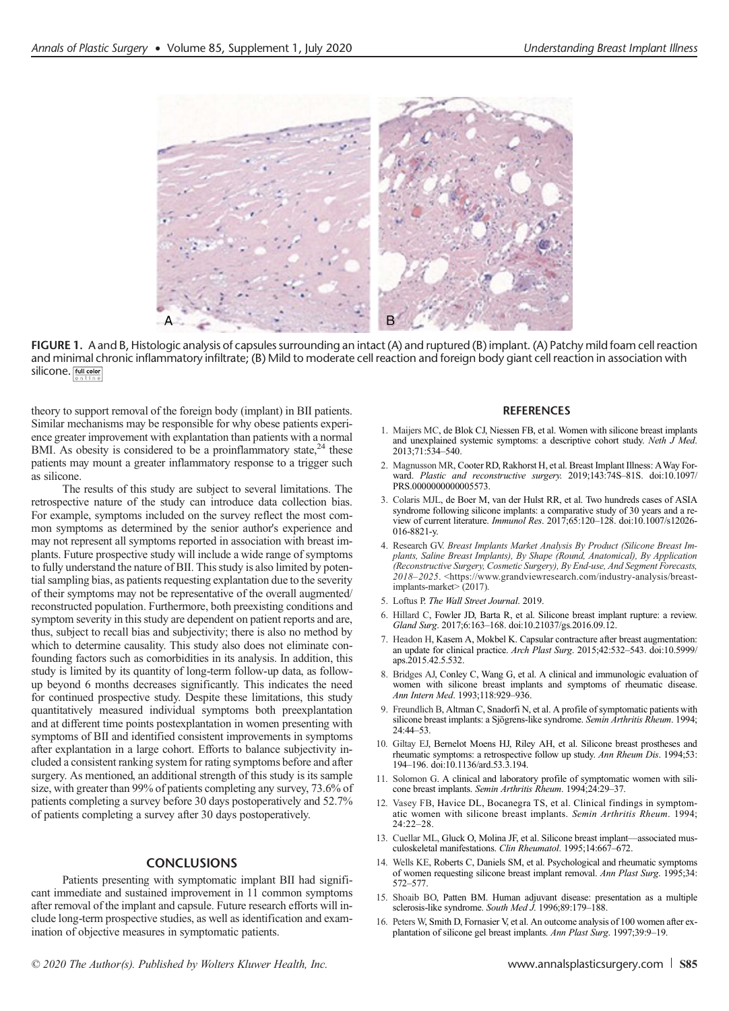

FIGURE 1. A and B, Histologic analysis of capsules surrounding an intact (A) and ruptured (B) implant. (A) Patchy mild foam cell reaction and minimal chronic inflammatory infiltrate; (B) Mild to moderate cell reaction and foreign body giant cell reaction in association with silicone. Full color

theory to support removal of the foreign body (implant) in BII patients. Similar mechanisms may be responsible for why obese patients experience greater improvement with explantation than patients with a normal BMI. As obesity is considered to be a proinflammatory state, $24$  these patients may mount a greater inflammatory response to a trigger such as silicone.

The results of this study are subject to several limitations. The retrospective nature of the study can introduce data collection bias. For example, symptoms included on the survey reflect the most common symptoms as determined by the senior author's experience and may not represent all symptoms reported in association with breast implants. Future prospective study will include a wide range of symptoms to fully understand the nature of BII. This study is also limited by potential sampling bias, as patients requesting explantation due to the severity of their symptoms may not be representative of the overall augmented/ reconstructed population. Furthermore, both preexisting conditions and symptom severity in this study are dependent on patient reports and are, thus, subject to recall bias and subjectivity; there is also no method by which to determine causality. This study also does not eliminate confounding factors such as comorbidities in its analysis. In addition, this study is limited by its quantity of long-term follow-up data, as followup beyond 6 months decreases significantly. This indicates the need for continued prospective study. Despite these limitations, this study quantitatively measured individual symptoms both preexplantation and at different time points postexplantation in women presenting with symptoms of BII and identified consistent improvements in symptoms after explantation in a large cohort. Efforts to balance subjectivity included a consistent ranking system for rating symptoms before and after surgery. As mentioned, an additional strength of this study is its sample size, with greater than 99% of patients completing any survey, 73.6% of patients completing a survey before 30 days postoperatively and 52.7% of patients completing a survey after 30 days postoperatively.

### **CONCLUSIONS**

Patients presenting with symptomatic implant BII had significant immediate and sustained improvement in 11 common symptoms after removal of the implant and capsule. Future research efforts will include long-term prospective studies, as well as identification and examination of objective measures in symptomatic patients.

#### **REFERENCES**

- 1. Maijers MC, de Blok CJ, Niessen FB, et al. Women with silicone breast implants and unexplained systemic symptoms: a descriptive cohort study. Neth  $\hat{J}$  Med. 2013;71:534–540.
- 2. Magnusson MR, Cooter RD, Rakhorst H, et al. Breast Implant Illness: AWay Forward. Plastic and reconstructive surgery. 2019;143:74S–81S. doi:10.1097/ PRS.0000000000005573.
- 3. Colaris MJL, de Boer M, van der Hulst RR, et al. Two hundreds cases of ASIA syndrome following silicone implants: a comparative study of 30 years and a review of current literature. Immunol Res. 2017;65:120–128. doi:10.1007/s12026- 016-8821-y.
- 4. Research GV. Breast Implants Market Analysis By Product (Silicone Breast Implants, Saline Breast Implants), By Shape (Round, Anatomical), By Application (Reconstructive Surgery, Cosmetic Surgery), By End-use, And Segment Forecasts, 2018–2025. [<https://www.grandviewresearch.com/industry-analysis/breast](https://www.grandviewresearch.com/industry-analysis/breast-implants-market%3e)[implants-market>](https://www.grandviewresearch.com/industry-analysis/breast-implants-market%3e) (2017).
- 5. Loftus P. The Wall Street Journal. 2019.
- 6. Hillard C, Fowler JD, Barta R, et al. Silicone breast implant rupture: a review. Gland Surg. 2017;6:163–168. doi:10.21037/gs.2016.09.12.
- 7. Headon H, Kasem A, Mokbel K. Capsular contracture after breast augmentation: an update for clinical practice. Arch Plast Surg. 2015;42:532–543. doi:10.5999/ aps.2015.42.5.532.
- 8. Bridges AJ, Conley C, Wang G, et al. A clinical and immunologic evaluation of women with silicone breast implants and symptoms of rheumatic disease. Ann Intern Med. 1993;118:929–936.
- 9. Freundlich B, Altman C, Snadorfi N, et al. A profile of symptomatic patients with silicone breast implants: a Sjögrens-like syndrome. Semin Arthritis Rheum. 1994; 24:44–53.
- 10. Giltay EJ, Bernelot Moens HJ, Riley AH, et al. Silicone breast prostheses and rheumatic symptoms: a retrospective follow up study. Ann Rheum Dis. 1994;53: 194–196. doi:10.1136/ard.53.3.194.
- 11. Solomon G. A clinical and laboratory profile of symptomatic women with silicone breast implants. Semin Arthritis Rheum. 1994;24:29–37.
- 12. Vasey FB, Havice DL, Bocanegra TS, et al. Clinical findings in symptomatic women with silicone breast implants. Semin Arthritis Rheum. 1994; 24:22–28.
- 13. Cuellar ML, Gluck O, Molina JF, et al. Silicone breast implant—associated musculoskeletal manifestations. Clin Rheumatol. 1995;14:667–672.
- 14. Wells KE, Roberts C, Daniels SM, et al. Psychological and rheumatic symptoms of women requesting silicone breast implant removal. Ann Plast Surg. 1995;34: 572–577.
- 15. Shoaib BO, Patten BM. Human adjuvant disease: presentation as a multiple sclerosis-like syndrome. South Med J. 1996;89:179-188.
- 16. Peters W, Smith D, Fornasier V, et al. An outcome analysis of 100 women after explantation of silicone gel breast implants. Ann Plast Surg. 1997;39:9–19.